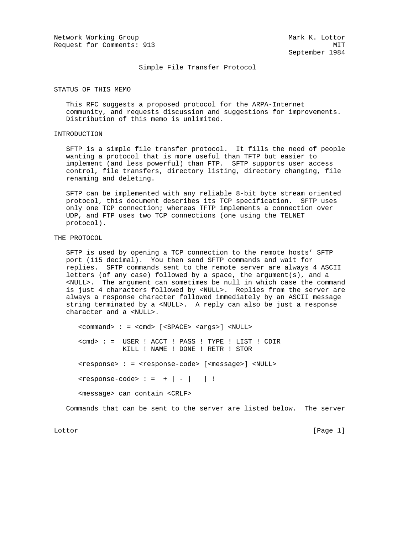Network Working Group Mark K. Lottor Request for Comments: 913 MIT

September 1984

Simple File Transfer Protocol

STATUS OF THIS MEMO

 This RFC suggests a proposed protocol for the ARPA-Internet community, and requests discussion and suggestions for improvements. Distribution of this memo is unlimited.

## INTRODUCTION

 SFTP is a simple file transfer protocol. It fills the need of people wanting a protocol that is more useful than TFTP but easier to implement (and less powerful) than FTP. SFTP supports user access control, file transfers, directory listing, directory changing, file renaming and deleting.

 SFTP can be implemented with any reliable 8-bit byte stream oriented protocol, this document describes its TCP specification. SFTP uses only one TCP connection; whereas TFTP implements a connection over UDP, and FTP uses two TCP connections (one using the TELNET protocol).

### THE PROTOCOL

 SFTP is used by opening a TCP connection to the remote hosts' SFTP port (115 decimal). You then send SFTP commands and wait for replies. SFTP commands sent to the remote server are always 4 ASCII letters (of any case) followed by a space, the argument(s), and a <NULL>. The argument can sometimes be null in which case the command is just 4 characters followed by <NULL>. Replies from the server are always a response character followed immediately by an ASCII message string terminated by a <NULL>. A reply can also be just a response character and a <NULL>.

 <command> : = <cmd> [<SPACE> <args>] <NULL> <cmd> : = USER ! ACCT ! PASS ! TYPE ! LIST ! CDIR KILL ! NAME ! DONE ! RETR ! STOR <response> : = <response-code> [<message>] <NULL>  $<sub>response-code</sub> : = + | - | |$ </sub> <message> can contain <CRLF>

Commands that can be sent to the server are listed below. The server

Lottor [Page 1]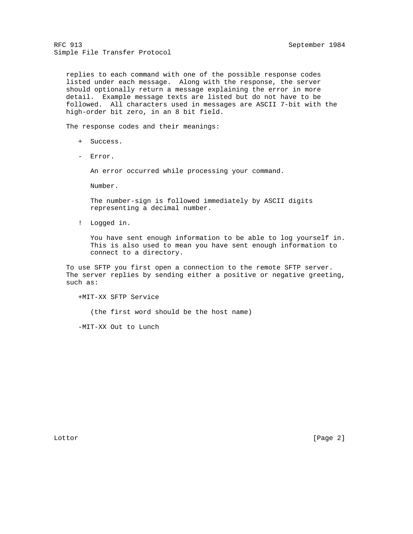replies to each command with one of the possible response codes listed under each message. Along with the response, the server should optionally return a message explaining the error in more detail. Example message texts are listed but do not have to be followed. All characters used in messages are ASCII 7-bit with the high-order bit zero, in an 8 bit field.

The response codes and their meanings:

- + Success.
- Error.

An error occurred while processing your command.

Number.

 The number-sign is followed immediately by ASCII digits representing a decimal number.

! Logged in.

 You have sent enough information to be able to log yourself in. This is also used to mean you have sent enough information to connect to a directory.

 To use SFTP you first open a connection to the remote SFTP server. The server replies by sending either a positive or negative greeting, such as:

+MIT-XX SFTP Service

(the first word should be the host name)

-MIT-XX Out to Lunch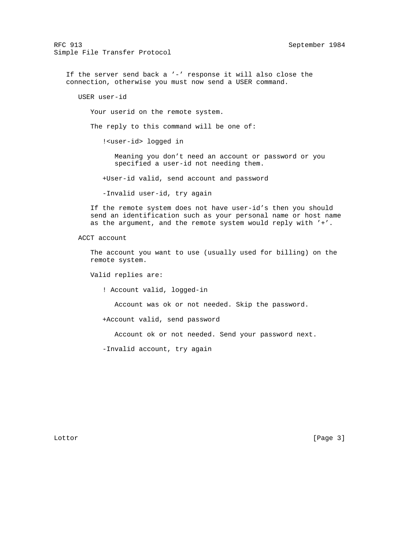If the server send back a '-' response it will also close the connection, otherwise you must now send a USER command.

USER user-id

Your userid on the remote system.

The reply to this command will be one of:

!<user-id> logged in

 Meaning you don't need an account or password or you specified a user-id not needing them.

+User-id valid, send account and password

-Invalid user-id, try again

 If the remote system does not have user-id's then you should send an identification such as your personal name or host name as the argument, and the remote system would reply with '+'.

ACCT account

 The account you want to use (usually used for billing) on the remote system.

Valid replies are:

! Account valid, logged-in

Account was ok or not needed. Skip the password.

+Account valid, send password

Account ok or not needed. Send your password next.

-Invalid account, try again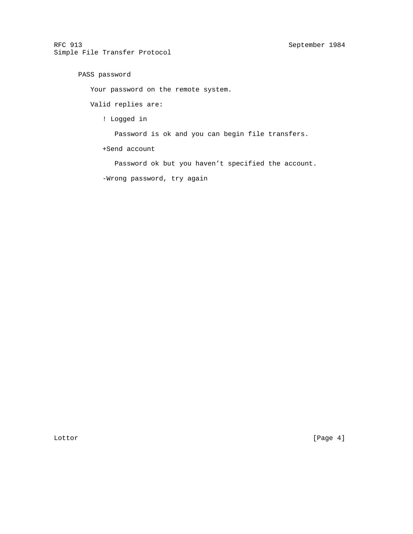```
 PASS password
```
Your password on the remote system.

Valid replies are:

! Logged in

Password is ok and you can begin file transfers.

+Send account

Password ok but you haven't specified the account.

-Wrong password, try again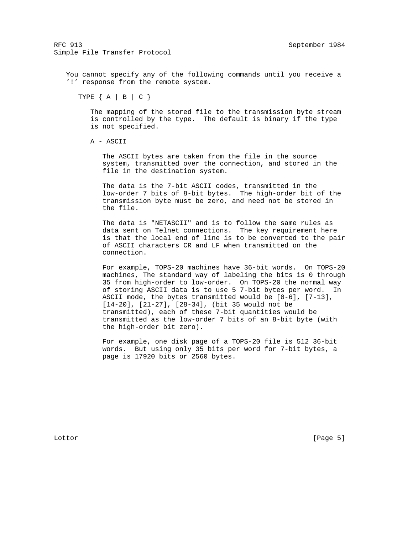You cannot specify any of the following commands until you receive a '!' response from the remote system.

TYPE { A | B | C }

 The mapping of the stored file to the transmission byte stream is controlled by the type. The default is binary if the type is not specified.

A - ASCII

 The ASCII bytes are taken from the file in the source system, transmitted over the connection, and stored in the file in the destination system.

 The data is the 7-bit ASCII codes, transmitted in the low-order 7 bits of 8-bit bytes. The high-order bit of the transmission byte must be zero, and need not be stored in the file.

 The data is "NETASCII" and is to follow the same rules as data sent on Telnet connections. The key requirement here is that the local end of line is to be converted to the pair of ASCII characters CR and LF when transmitted on the connection.

 For example, TOPS-20 machines have 36-bit words. On TOPS-20 machines, The standard way of labeling the bits is 0 through 35 from high-order to low-order. On TOPS-20 the normal way of storing ASCII data is to use 5 7-bit bytes per word. In ASCII mode, the bytes transmitted would be [0-6], [7-13], [14-20], [21-27], [28-34], (bit 35 would not be transmitted), each of these 7-bit quantities would be transmitted as the low-order 7 bits of an 8-bit byte (with the high-order bit zero).

 For example, one disk page of a TOPS-20 file is 512 36-bit words. But using only 35 bits per word for 7-bit bytes, a page is 17920 bits or 2560 bytes.

Lottor [Page 5]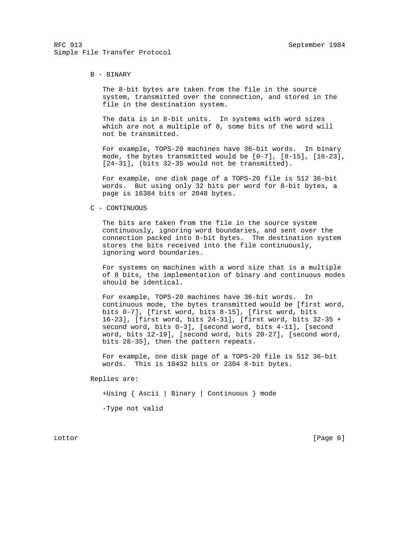### B - BINARY

 The 8-bit bytes are taken from the file in the source system, transmitted over the connection, and stored in the file in the destination system.

 The data is in 8-bit units. In systems with word sizes which are not a multiple of 8, some bits of the word will not be transmitted.

 For example, TOPS-20 machines have 36-bit words. In binary mode, the bytes transmitted would be [0-7], [8-15], [16-23], [24-31], (bits 32-35 would not be transmitted).

 For example, one disk page of a TOPS-20 file is 512 36-bit words. But using only 32 bits per word for 8-bit bytes, a page is 16384 bits or 2048 bytes.

#### C - CONTINUOUS

 The bits are taken from the file in the source system continuously, ignoring word boundaries, and sent over the connection packed into 8-bit bytes. The destination system stores the bits received into the file continuously, ignoring word boundaries.

 For systems on machines with a word size that is a multiple of 8 bits, the implementation of binary and continuous modes should be identical.

 For example, TOPS-20 machines have 36-bit words. In continuous mode, the bytes transmitted would be [first word, bits 0-7], [first word, bits 8-15], [first word, bits 16-23], [first word, bits 24-31], [first word, bits 32-35 + second word, bits 0-3], [second word, bits 4-11], [second word, bits 12-19], [second word, bits 20-27], [second word, bits 28-35], then the pattern repeats.

 For example, one disk page of a TOPS-20 file is 512 36-bit words. This is 18432 bits or 2304 8-bit bytes.

Replies are:

+Using { Ascii | Binary | Continuous } mode

-Type not valid

Lottor [Page 6]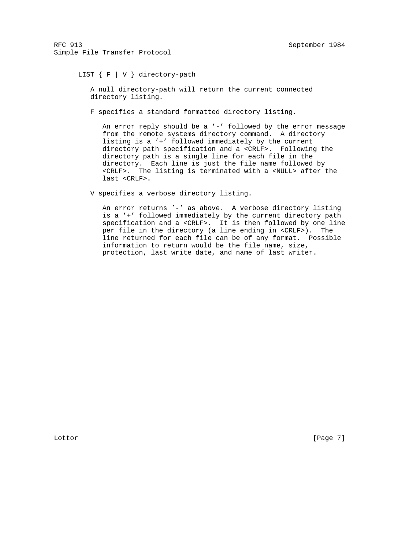## LIST { F | V } directory-path

 A null directory-path will return the current connected directory listing.

F specifies a standard formatted directory listing.

An error reply should be a '-' followed by the error message from the remote systems directory command. A directory listing is a '+' followed immediately by the current directory path specification and a <CRLF>. Following the directory path is a single line for each file in the directory. Each line is just the file name followed by <CRLF>. The listing is terminated with a <NULL> after the last <CRLF>.

V specifies a verbose directory listing.

 An error returns '-' as above. A verbose directory listing is a '+' followed immediately by the current directory path specification and a <CRLF>. It is then followed by one line per file in the directory (a line ending in <CRLF>). The line returned for each file can be of any format. Possible information to return would be the file name, size, protection, last write date, and name of last writer.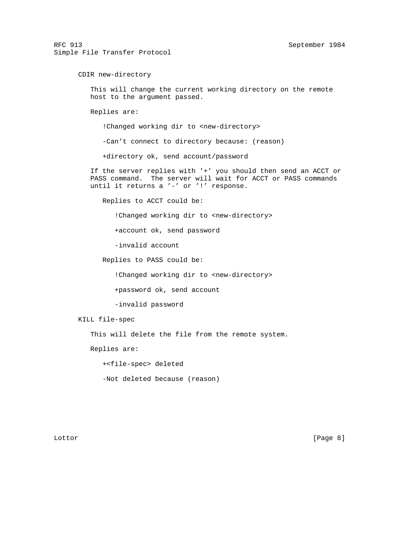CDIR new-directory

 This will change the current working directory on the remote host to the argument passed.

Replies are:

!Changed working dir to <new-directory>

-Can't connect to directory because: (reason)

+directory ok, send account/password

 If the server replies with '+' you should then send an ACCT or PASS command. The server will wait for ACCT or PASS commands until it returns a '-' or '!' response.

Replies to ACCT could be:

! Changed working dir to <new-directory>

+account ok, send password

-invalid account

Replies to PASS could be:

! Changed working dir to <new-directory>

+password ok, send account

-invalid password

KILL file-spec

This will delete the file from the remote system.

Replies are:

+<file-spec> deleted

-Not deleted because (reason)

Lottor [Page 8]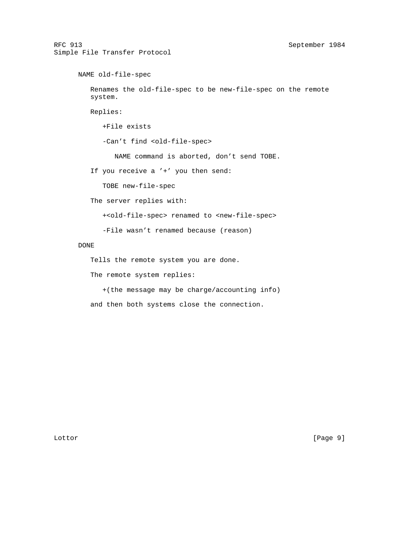```
 NAME old-file-spec
   Renames the old-file-spec to be new-file-spec on the remote
   system.
   Replies:
      +File exists
     -Can't find <old-file-spec>
         NAME command is aborted, don't send TOBE.
   If you receive a '+' you then send:
      TOBE new-file-spec
   The server replies with:
      +<old-file-spec> renamed to <new-file-spec>
      -File wasn't renamed because (reason)
DONE
   Tells the remote system you are done.
   The remote system replies:
```
 +(the message may be charge/accounting info) and then both systems close the connection.

Lottor [Page 9]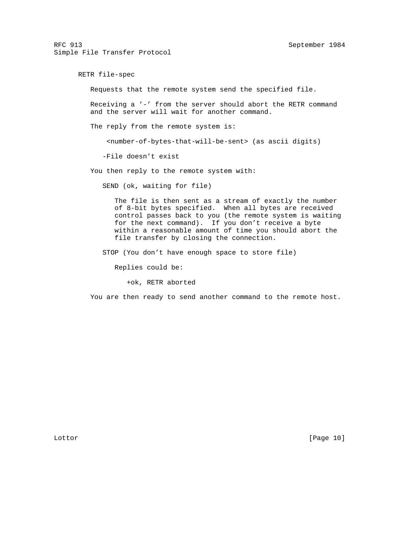RETR file-spec Requests that the remote system send the specified file. Receiving a '-' from the server should abort the RETR command and the server will wait for another command. The reply from the remote system is: <number-of-bytes-that-will-be-sent> (as ascii digits) -File doesn't exist You then reply to the remote system with: SEND (ok, waiting for file) The file is then sent as a stream of exactly the number of 8-bit bytes specified. When all bytes are received control passes back to you (the remote system is waiting for the next command). If you don't receive a byte within a reasonable amount of time you should abort the file transfer by closing the connection. STOP (You don't have enough space to store file) Replies could be:

+ok, RETR aborted

You are then ready to send another command to the remote host.

Lottor [Page 10]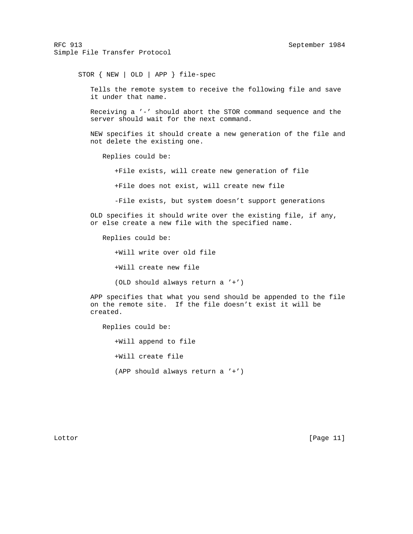STOR { NEW | OLD | APP } file-spec

 Tells the remote system to receive the following file and save it under that name.

 Receiving a '-' should abort the STOR command sequence and the server should wait for the next command.

 NEW specifies it should create a new generation of the file and not delete the existing one.

Replies could be:

+File exists, will create new generation of file

+File does not exist, will create new file

-File exists, but system doesn't support generations

 OLD specifies it should write over the existing file, if any, or else create a new file with the specified name.

Replies could be:

+Will write over old file

+Will create new file

(OLD should always return a '+')

 APP specifies that what you send should be appended to the file on the remote site. If the file doesn't exist it will be created.

 Replies could be: +Will append to file +Will create file (APP should always return a '+')

Lottor [Page 11]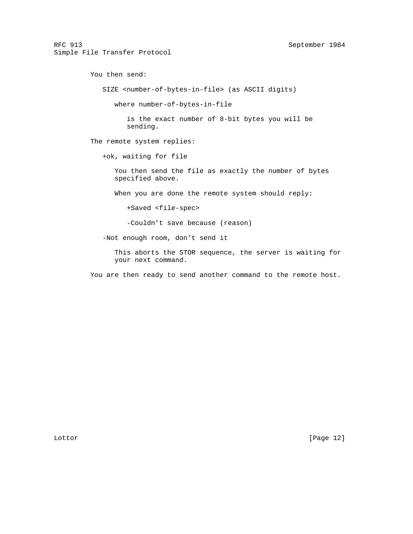You then send: SIZE <number-of-bytes-in-file> (as ASCII digits) where number-of-bytes-in-file is the exact number of 8-bit bytes you will be sending. The remote system replies: +ok, waiting for file You then send the file as exactly the number of bytes specified above. When you are done the remote system should reply: +Saved <file-spec> -Couldn't save because (reason) -Not enough room, don't send it This aborts the STOR sequence, the server is waiting for

You are then ready to send another command to the remote host.

your next command.

Lottor [Page 12]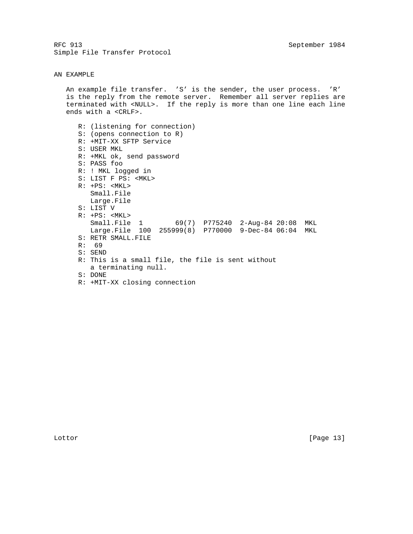#### AN EXAMPLE

 An example file transfer. 'S' is the sender, the user process. 'R' is the reply from the remote server. Remember all server replies are terminated with <NULL>. If the reply is more than one line each line ends with a <CRLF>.

 R: (listening for connection) S: (opens connection to R) R: +MIT-XX SFTP Service S: USER MKL R: +MKL ok, send password S: PASS foo R: ! MKL logged in S: LIST F PS: <MKL> R: +PS: <MKL> Small.File Large.File S: LIST V R: +PS: <MKL> Small.File 1 69(7) P775240 2-Aug-84 20:08 MKL Large.File 100 255999(8) P770000 9-Dec-84 06:04 MKL S: RETR SMALL.FILE R: 69 S: SEND R: This is a small file, the file is sent without a terminating null. S: DONE R: +MIT-XX closing connection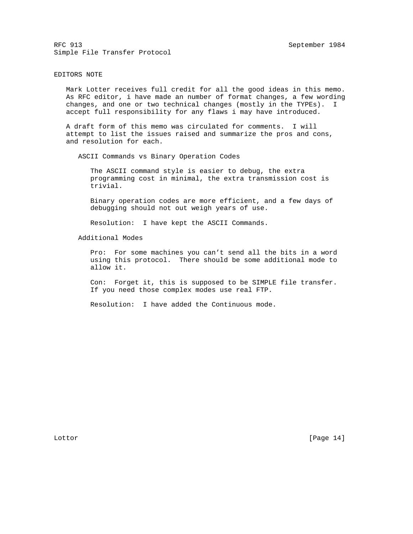#### EDITORS NOTE

 Mark Lotter receives full credit for all the good ideas in this memo. As RFC editor, i have made an number of format changes, a few wording changes, and one or two technical changes (mostly in the TYPEs). I accept full responsibility for any flaws i may have introduced.

 A draft form of this memo was circulated for comments. I will attempt to list the issues raised and summarize the pros and cons, and resolution for each.

ASCII Commands vs Binary Operation Codes

 The ASCII command style is easier to debug, the extra programming cost in minimal, the extra transmission cost is trivial.

 Binary operation codes are more efficient, and a few days of debugging should not out weigh years of use.

Resolution: I have kept the ASCII Commands.

Additional Modes

 Pro: For some machines you can't send all the bits in a word using this protocol. There should be some additional mode to allow it.

 Con: Forget it, this is supposed to be SIMPLE file transfer. If you need those complex modes use real FTP.

Resolution: I have added the Continuous mode.